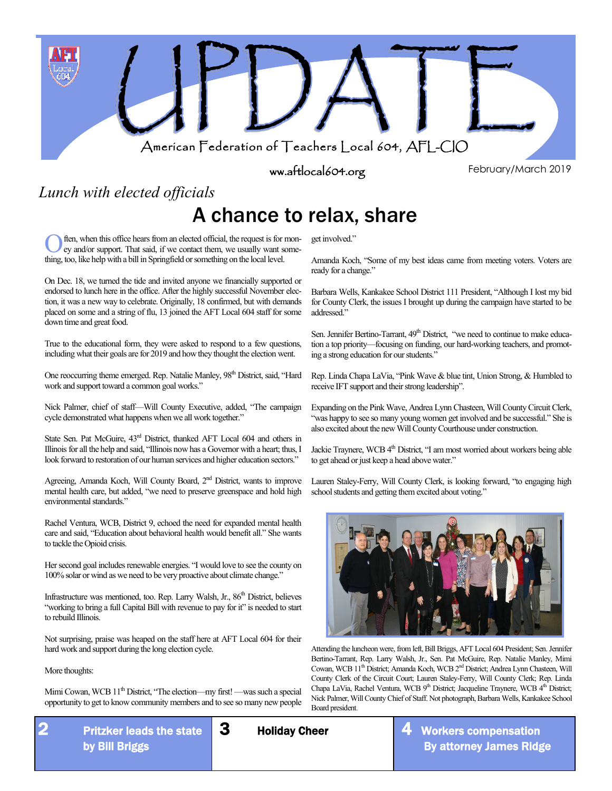

ww.aftlocal604.org

February/March 2019

*Lunch with elected officials*

### A chance to relax, share

Often, when this office hears from an elected official, the request is for ey and/or support. That said, if we contact them, we usually want s thing, too, like help with a bill in Springfield or something on the local leve ften, when this office hears from an elected official, the request is for money and/or support. That said, if we contact them, we usually want some-

On Dec. 18, we turned the tide and invited anyone we financially supported or endorsed to lunch here in the office. After the highly successful November election, it was a new way to celebrate. Originally, 18 confirmed, but with demands placed on some and a string of flu, 13 joined the AFT Local 604 staff for some down time and great food.

True to the educational form, they were asked to respond to a few questions, including what their goals are for 2019 and how they thought the election went.

One reoccurring theme emerged. Rep. Natalie Manley, 98<sup>th</sup> District, said, "Hard work and support toward a common goal works."

Nick Palmer, chief of staff—Will County Executive, added, "The campaign cycle demonstrated what happens when we all work together."

State Sen. Pat McGuire,  $43^{\text{rd}}$  District, thanked AFT Local 604 and others in Illinois for all the help and said, "Illinois now has a Governor with a heart; thus, I look forward to restoration of our human services and higher education sectors."

Agreeing, Amanda Koch, Will County Board, 2<sup>nd</sup> District, wants to improve mental health care, but added, "we need to preserve greenspace and hold high environmental standards."

Rachel Ventura, WCB, District 9, echoed the need for expanded mental health care and said, "Education about behavioral health would benefit all." She wants to tackle the Opioid crisis.

Her second goal includes renewable energies. "I would love to see the county on 100% solar or wind as we need to be very proactive about climate change."

Infrastructure was mentioned, too. Rep. Larry Walsh, Jr., 86<sup>th</sup> District, believes "working to bring a full Capital Bill with revenue to pay for it" is needed to start to rebuild Illinois.

Not surprising, praise was heaped on the staff here at AFT Local 604 for their hard work and support during the long election cycle.

More thoughts:

Mimi Cowan, WCB 11<sup>th</sup> District, "The election—my first! —was such a special opportunity to get to know community members and to see so many new people

get involved."

Amanda Koch, "Some of my best ideas came from meeting voters. Voters are ready for a change."

Barbara Wells, Kankakee School District 111 President, "Although I lost my bid for County Clerk, the issues I brought up during the campaign have started to be addressed."

Sen. Jennifer Bertino-Tarrant, 49<sup>th</sup> District, "we need to continue to make education a top priority—focusing on funding, our hard-working teachers, and promoting a strong education for our students."

Rep. Linda Chapa LaVia, "Pink Wave & blue tint, Union Strong, & Humbled to receive IFT support and their strong leadership".

Expanding on the Pink Wave, Andrea Lynn Chasteen, Will County Circuit Clerk, "was happy to see so many young women get involved and be successful." She is also excited about the new Will County Courthouse under construction.

Jackie Traynere, WCB 4<sup>th</sup> District, "I am most worried about workers being able to get ahead or just keep a head above water."

Lauren Staley-Ferry, Will County Clerk, is looking forward, "to engaging high school students and getting them excited about voting."



Attending the luncheon were, from left, Bill Briggs, AFT Local 604 President; Sen. Jennifer Bertino-Tarrant, Rep. Larry Walsh, Jr., Sen. Pat McGuire, Rep. Natalie Manley, Mimi Cowan, WCB 11<sup>th</sup> District; Amanda Koch, WCB 2<sup>nd</sup> District; Andrea Lynn Chasteen, Will County Clerk of the Circuit Court; Lauren Staley-Ferry, Will County Clerk; Rep. Linda Chapa LaVia, Rachel Ventura, WCB 9<sup>th</sup> District; Jacqueline Traynere, WCB 4<sup>th</sup> District; Nick Palmer, Will County Chief of Staff. Not photograph, Barbara Wells, Kankakee School Board president.

3 Holiday Cheer

By attorney James Ridge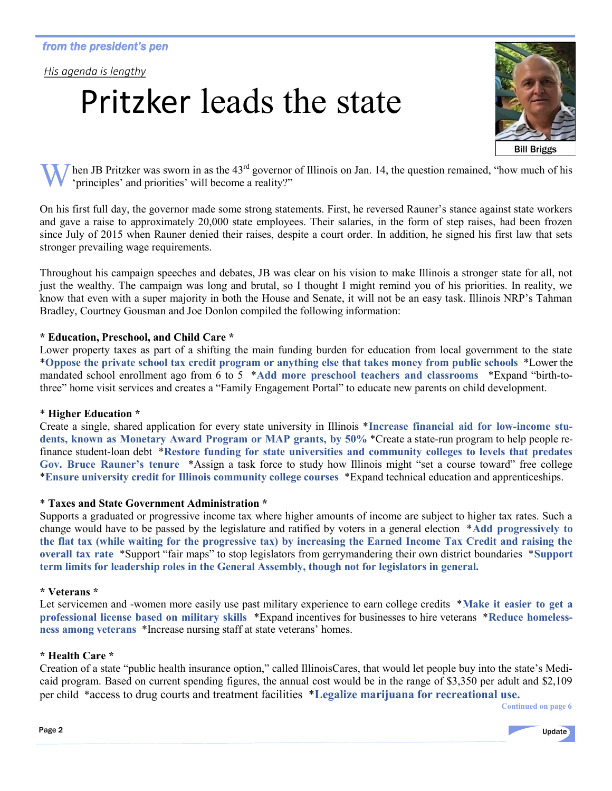*His agenda is lengthy*

# Pritzker leads the state



hen JB Pritzker was sworn in as the  $43<sup>rd</sup>$  governor of Illinois on Jan. 14, the question remained, "how much of his 'principles' and priorities' will become a reality?"

On his first full day, the governor made some strong statements. First, he reversed Rauner's stance against state workers and gave a raise to approximately 20,000 state employees. Their salaries, in the form of step raises, had been frozen since July of 2015 when Rauner denied their raises, despite a court order. In addition, he signed his first law that sets stronger prevailing wage requirements.

Throughout his campaign speeches and debates, JB was clear on his vision to make Illinois a stronger state for all, not just the wealthy. The campaign was long and brutal, so I thought I might remind you of his priorities. In reality, we know that even with a super majority in both the House and Senate, it will not be an easy task. Illinois NRP's Tahman Bradley, Courtney Gousman and Joe Donlon compiled the following information:

#### **\* Education, Preschool, and Child Care \***

Lower property taxes as part of a shifting the main funding burden for education from local government to the state \***Oppose the private school tax credit program or anything else that takes money from public schools** \*Lower the mandated school enrollment ago from 6 to 5 \***Add more preschool teachers and classrooms** \*Expand "birth-tothree" home visit services and creates a "Family Engagement Portal" to educate new parents on child development.

#### \* **Higher Education \***

Create a single, shared application for every state university in Illinois \***Increase financial aid for low-income students, known as Monetary Award Program or MAP grants, by 50%** \*Create a state-run program to help people refinance student-loan debt \***Restore funding for state universities and community colleges to levels that predates Gov. Bruce Rauner's tenure** \*Assign a task force to study how Illinois might "set a course toward" free college \***Ensure university credit for Illinois community college courses** \*Expand technical education and apprenticeships.

#### \* **Taxes and State Government Administration \***

Supports a graduated or progressive income tax where higher amounts of income are subject to higher tax rates. Such a change would have to be passed by the legislature and ratified by voters in a general election \***Add progressively to the flat tax (while waiting for the progressive tax) by increasing the Earned Income Tax Credit and raising the overall tax rate** \*Support "fair maps" to stop legislators from gerrymandering their own district boundaries \***Support term limits for leadership roles in the General Assembly, though not for legislators in general.**

#### **\* Veterans \***

Let servicemen and -women more easily use past military experience to earn college credits \***Make it easier to get a professional license based on military skills** \*Expand incentives for businesses to hire veterans \***Reduce homelessness among veterans** \*Increase nursing staff at state veterans' homes.

#### **\* Health Care \***

Creation of a state "public health insurance option," called IllinoisCares, that would let people buy into the state's Medicaid program. Based on current spending figures, the annual cost would be in the range of \$3,350 per adult and \$2,109 per child \*access to drug courts and treatment facilities \***Legalize marijuana for recreational use.** *Continued on page 6* 

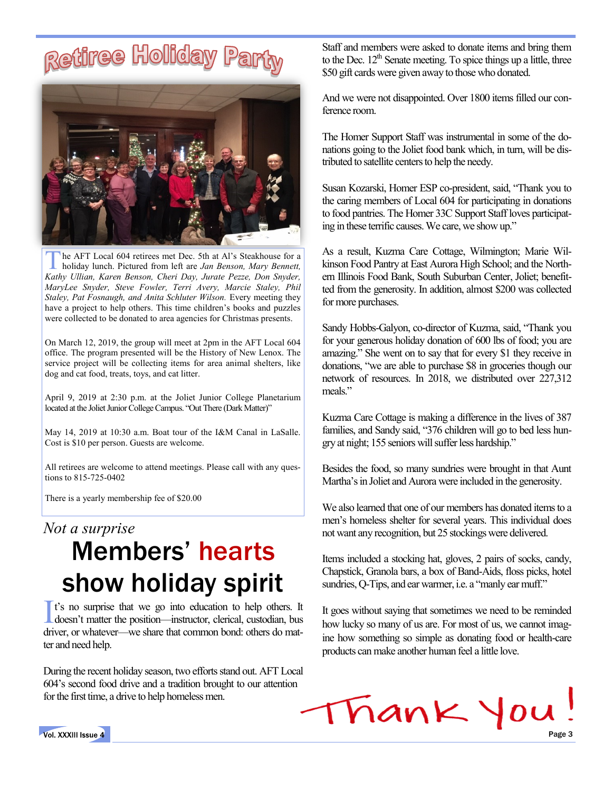#### **Retiree Holiday** Par



**The AFT Local 604 retirees met Dec. 5th at Al's Steakhouse for a holiday lunch. Pictured from left are Jan Benson, Mary Bennett, Kathy Ullian, Karen Benson, Cheri Day, Jurate Pezze, Don Snyder,** he AFT Local 604 retirees met Dec. 5th at Al's Steakhouse for a holiday lunch. Pictured from left are *Jan Benson, Mary Bennett, MaryLee Snyder, Steve Fowler, Terri Avery, Marcie Staley, Phil Staley, Pat Fosnaugh, and Anita Schluter Wilson.* Every meeting they have a project to help others. This time children's books and puzzles were collected to be donated to area agencies for Christmas presents.

On March 12, 2019, the group will meet at 2pm in the AFT Local 604 office. The program presented will be the History of New Lenox. The service project will be collecting items for area animal shelters, like dog and cat food, treats, toys, and cat litter.

April 9, 2019 at 2:30 p.m. at the Joliet Junior College Planetarium located at the Joliet Junior College Campus. "Out There (Dark Matter)"

May 14, 2019 at 10:30 a.m. Boat tour of the I&M Canal in LaSalle. Cost is \$10 per person. Guests are welcome.

All retirees are welcome to attend meetings. Please call with any questions to 815-725-0402

There is a yearly membership fee of \$20.00

### *Not a surprise* Members' hearts show holiday spirit

It's no surprise that we go into education to help others. It doesn't matter the position—instructor, clerical, custodian, bus doesn't matter the position—instructor, clerical, custodian, bus driver, or whatever—we share that common bond: others do matter and need help.

During the recent holiday season, two efforts stand out. AFT Local 604's second food drive and a tradition brought to our attention for the first time, a drive to help homeless men.

Staff and members were asked to donate items and bring them to the Dec.  $12<sup>th</sup>$  Senate meeting. To spice things up a little, three \$50 gift cards were given away to those who donated.

And we were not disappointed. Over 1800 items filled our conference room.

The Homer Support Staff was instrumental in some of the donations going to the Joliet food bank which, in turn, will be distributed to satellite centers to help the needy.

Susan Kozarski, Homer ESP co-president, said, "Thank you to the caring members of Local 604 for participating in donations to food pantries. The Homer 33C Support Staff loves participating in these terrific causes. We care, we show up."

As a result, Kuzma Care Cottage, Wilmington; Marie Wilkinson Food Pantry at East Aurora High School; and the Northern Illinois Food Bank, South Suburban Center, Joliet; benefitted from the generosity. In addition, almost \$200 was collected for more purchases.

Sandy Hobbs-Galyon, co-director of Kuzma, said, "Thank you for your generous holiday donation of 600 lbs of food; you are amazing." She went on to say that for every \$1 they receive in donations, "we are able to purchase \$8 in groceries though our network of resources. In 2018, we distributed over 227,312 meals"

Kuzma Care Cottage is making a difference in the lives of 387 families, and Sandy said, "376 children will go to bed less hungry at night; 155 seniors will suffer less hardship."

Besides the food, so many sundries were brought in that Aunt Martha's in Joliet and Aurora were included in the generosity.

We also learned that one of our members has donated items to a men's homeless shelter for several years. This individual does not want any recognition, but 25 stockings were delivered.

Items included a stocking hat, gloves, 2 pairs of socks, candy, Chapstick, Granola bars, a box of Band-Aids, floss picks, hotel sundries, Q-Tips, and ear warmer, i.e. a "manly ear muff."

It goes without saying that sometimes we need to be reminded how lucky so many of us are. For most of us, we cannot imagine how something so simple as donating food or health-care products can make another human feel a little love.



Vol. XXXIII Issue 4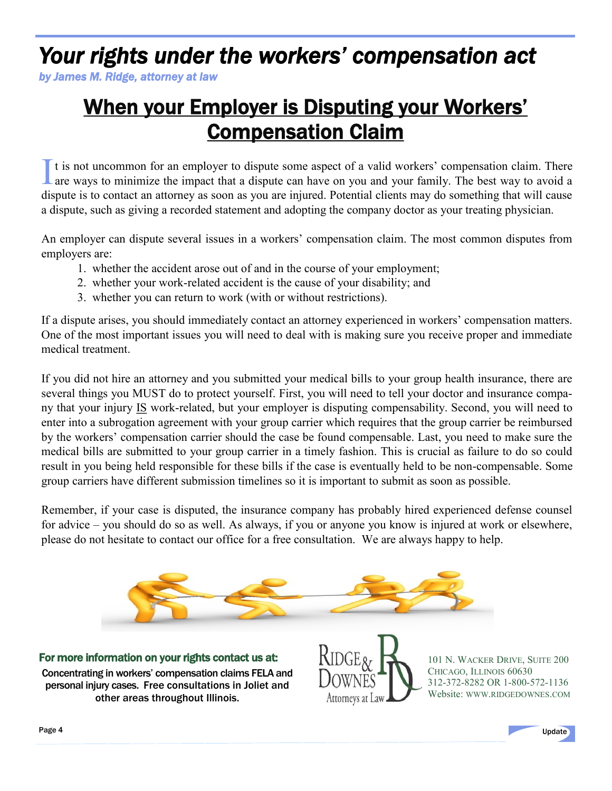### *Your rights under the workers' compensation act*

*by James M. Ridge, attorney at law*

### When your Employer is Disputing your Workers' Compensation Claim

I t is not uncommon for an employer to dispute some aspect of a valid workers' compensation claim. There are ways to minimize the impact that a dispute can have on you and your family. The best way to avoid a dispute is to contact an attorney as soon as you are injured. Potential clients may do something that will cause a dispute, such as giving a recorded statement and adopting the company doctor as your treating physician.

An employer can dispute several issues in a workers' compensation claim. The most common disputes from employers are:

- 1. whether the accident arose out of and in the course of your employment;
- 2. whether your work-related accident is the cause of your disability; and
- 3. whether you can return to work (with or without restrictions).

If a dispute arises, you should immediately contact an attorney experienced in workers' compensation matters. One of the most important issues you will need to deal with is making sure you receive proper and immediate medical treatment.

If you did not hire an attorney and you submitted your medical bills to your group health insurance, there are several things you MUST do to protect yourself. First, you will need to tell your doctor and insurance company that your injury IS work-related, but your employer is disputing compensability. Second, you will need to enter into a subrogation agreement with your group carrier which requires that the group carrier be reimbursed by the workers' compensation carrier should the case be found compensable. Last, you need to make sure the medical bills are submitted to your group carrier in a timely fashion. This is crucial as failure to do so could result in you being held responsible for these bills if the case is eventually held to be non-compensable. Some group carriers have different submission timelines so it is important to submit as soon as possible.

Remember, if your case is disputed, the insurance company has probably hired experienced defense counsel for advice – you should do so as well. As always, if you or anyone you know is injured at work or elsewhere, please do not hesitate to contact our office for a free consultation. We are always happy to help.



For more information on your rights contact us at: Concentrating in workers' compensation claims FELA and personal injury cases. Free consultations in Joliet and other areas throughout Illinois.



101 N. WACKER DRIVE, SUITE 200 CHICAGO, ILLINOIS 60630 312-372-8282 OR 1-800-572-1136 Website: WWW.[RIDGEDOWNES](http://www.ridgedownes.com).COM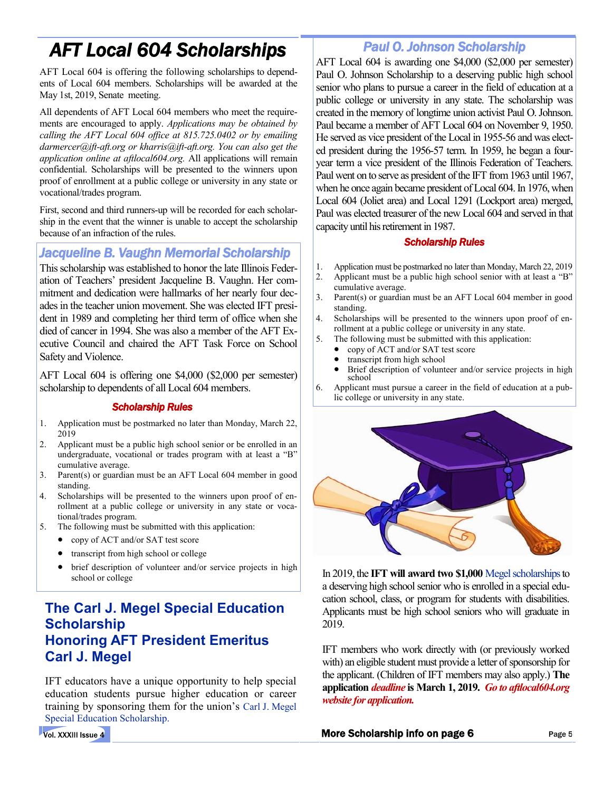### *AFT Local 604 Scholarships*

AFT Local 604 is offering the following scholarships to dependents of Local 604 members. Scholarships will be awarded at the May 1st, 2019, Senate meeting.

All dependents of AFT Local 604 members who meet the requirements are encouraged to apply. *Applications may be obtained by calling the AFT Local 604 office at 815.725.0402 or by emailing darmercer@ift-aft.org or kharris@ift-aft.org. You can also get the application online at aftlocal604.org.* All applications will remain confidential. Scholarships will be presented to the winners upon proof of enrollment at a public college or university in any state or vocational/trades program.

First, second and third runners-up will be recorded for each scholarship in the event that the winner is unable to accept the scholarship because of an infraction of the rules.

*Jacqueline B. Vaughn Memorial Scholarship* 

This scholarship was established to honor the late Illinois Federation of Teachers' president Jacqueline B. Vaughn. Her commitment and dedication were hallmarks of her nearly four decades in the teacher union movement. She was elected IFT president in 1989 and completing her third term of office when she died of cancer in 1994. She was also a member of the AFT Executive Council and chaired the AFT Task Force on School Safety and Violence.

AFT Local 604 is offering one \$4,000 (\$2,000 per semester) scholarship to dependents of all Local 604 members.

#### *Scholarship Rules*

- 1. Application must be postmarked no later than Monday, March 22, 2019
- 2. Applicant must be a public high school senior or be enrolled in an undergraduate, vocational or trades program with at least a "B" cumulative average.
- 3. Parent(s) or guardian must be an AFT Local 604 member in good standing.
- 4. Scholarships will be presented to the winners upon proof of enrollment at a public college or university in any state or vocational/trades program.
- 5. The following must be submitted with this application:
	- copy of ACT and/or SAT test score
	- transcript from high school or college
	- brief description of volunteer and/or service projects in high school or college

#### **The Carl J. Megel Special Education Scholarship Honoring AFT President Emeritus Carl J. Megel**

IFT educators have a unique opportunity to help special education students pursue higher education or career training by sponsoring them for the union's Carl J. Megel Special Education Scholarship.

*Paul O. Johnson Scholarship* 

AFT Local 604 is awarding one \$4,000 (\$2,000 per semester) Paul O. Johnson Scholarship to a deserving public high school senior who plans to pursue a career in the field of education at a public college or university in any state. The scholarship was created in the memory of longtime union activist Paul O. Johnson. Paul became a member of AFT Local 604 on November 9, 1950. He served as vice president of the Local in 1955-56 and was elected president during the 1956-57 term. In 1959, he began a fouryear term a vice president of the Illinois Federation of Teachers. Paul went on to serve as president of the IFT from 1963 until 1967, when he once again became president of Local 604. In 1976, when Local 604 (Joliet area) and Local 1291 (Lockport area) merged, Paul was elected treasurer of the new Local 604 and served in that capacity until his retirement in 1987.

#### *Scholarship Rules*

- 1. Application must be postmarked no later than Monday, March 22, 2019
- 2. Applicant must be a public high school senior with at least a "B" cumulative average.
- 3. Parent(s) or guardian must be an AFT Local 604 member in good standing.
- 4. Scholarships will be presented to the winners upon proof of enrollment at a public college or university in any state.
- 5. The following must be submitted with this application:
	- copy of ACT and/or SAT test score
	- transcript from high school
	- Brief description of volunteer and/or service projects in high school
- 6. Applicant must pursue a career in the field of education at a public college or university in any state.



In 2019, the **IFT will award two \$1,000** Megel scholarshipsto a deserving high school senior who is enrolled in a special education school, class, or program for students with disabilities. Applicants must be high school seniors who will graduate in 2019.

IFT members who work directly with (or previously worked with) an eligible student must provide a letter of sponsorship for the applicant. (Children of IFT members may also apply.) **The application** *deadline* **is March 1, 2019.** *Go to aftlocal604.org website for application.*

More Scholarship info on page 6

Vol. XXXIII Issue 4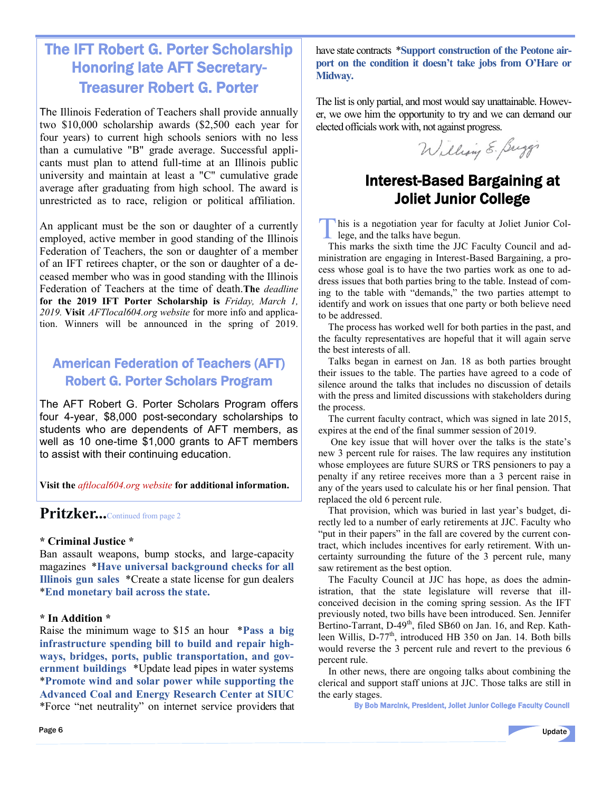#### The IFT Robert G. Porter Scholarship Honoring late AFT Secretary-Treasurer Robert G. Porter

The Illinois Federation of Teachers shall provide annually two \$10,000 scholarship awards (\$2,500 each year for four years) to current high schools seniors with no less than a cumulative "B" grade average. Successful applicants must plan to attend full-time at an Illinois public university and maintain at least a "C" cumulative grade average after graduating from high school. The award is unrestricted as to race, religion or political affiliation.

An applicant must be the son or daughter of a currently employed, active member in good standing of the Illinois Federation of Teachers, the son or daughter of a member of an IFT retirees chapter, or the son or daughter of a deceased member who was in good standing with the Illinois Federation of Teachers at the time of death.**The** *deadline* **for the 2019 IFT Porter Scholarship is** *Friday, March 1, 2019.* **Visit** *AFTlocal604.org website* for more info and application. Winners will be announced in the spring of 2019.

#### American Federation of Teachers (AFT) Robert G. Porter Scholars Program

The AFT Robert G. Porter Scholars Program offers four 4-year, \$8,000 post-secondary scholarships to students who are dependents of AFT members, as well as 10 one-time \$1,000 grants to AFT members to assist with their continuing education.

**Visit the** *aftlocal604.org website* **for additional information.**

#### Pritzker...Continued from page 2

#### **\* Criminal Justice \***

Ban assault weapons, bump stocks, and large-capacity magazines \***Have universal background checks for all Illinois gun sales** \*Create a state license for gun dealers \***End monetary bail across the state.**

#### **\* In Addition \***

Raise the minimum wage to \$15 an hour \***Pass a big infrastructure spending bill to build and repair highways, bridges, ports, public transportation, and government buildings** \*Update lead pipes in water systems \***Promote wind and solar power while supporting the Advanced Coal and Energy Research Center at SIUC** \*Force "net neutrality" on internet service providers that have state contracts \***Support construction of the Peotone airport on the condition it doesn't take jobs from O'Hare or Midway.**

The list is only partial, and most would say unattainable. However, we owe him the opportunity to try and we can demand our elected officials work with, not against progress.

William E. Buggi

#### Interest-Based Bargaining at Joliet Junior College

This is a negotiation year for formulation of the talks have begun. his is a negotiation year for faculty at Joliet Junior Col-

 This marks the sixth time the JJC Faculty Council and administration are engaging in Interest-Based Bargaining, a process whose goal is to have the two parties work as one to address issues that both parties bring to the table. Instead of coming to the table with "demands," the two parties attempt to identify and work on issues that one party or both believe need to be addressed.

 The process has worked well for both parties in the past, and the faculty representatives are hopeful that it will again serve the best interests of all.

 Talks began in earnest on Jan. 18 as both parties brought their issues to the table. The parties have agreed to a code of silence around the talks that includes no discussion of details with the press and limited discussions with stakeholders during the process.

 The current faculty contract, which was signed in late 2015, expires at the end of the final summer session of 2019.

 One key issue that will hover over the talks is the state's new 3 percent rule for raises. The law requires any institution whose employees are future SURS or TRS pensioners to pay a penalty if any retiree receives more than a 3 percent raise in any of the years used to calculate his or her final pension. That replaced the old 6 percent rule.

 That provision, which was buried in last year's budget, directly led to a number of early retirements at JJC. Faculty who "put in their papers" in the fall are covered by the current contract, which includes incentives for early retirement. With uncertainty surrounding the future of the 3 percent rule, many saw retirement as the best option.

 The Faculty Council at JJC has hope, as does the administration, that the state legislature will reverse that illconceived decision in the coming spring session. As the IFT previously noted, two bills have been introduced. Sen. Jennifer Bertino-Tarrant, D-49<sup>th</sup>, filed SB60 on Jan. 16, and Rep. Kathleen Willis, D-77<sup>th</sup>, introduced HB 350 on Jan. 14. Both bills would reverse the 3 percent rule and revert to the previous 6 percent rule.

 In other news, there are ongoing talks about combining the clerical and support staff unions at JJC. Those talks are still in the early stages.

By Bob Marcink, President, Joliet Junior College Faculty Council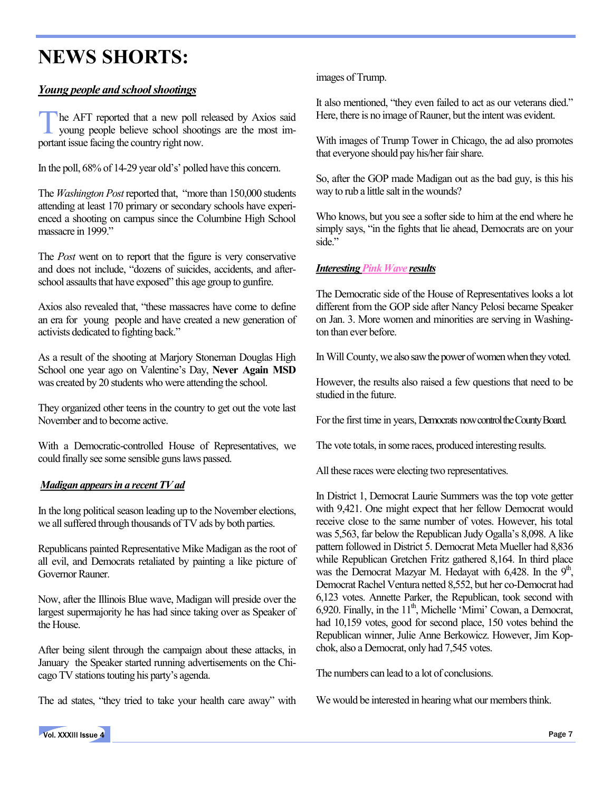### **NEWS SHORTS:**

#### *Young people and school shootings*

T he AFT reported that a new poll released by Axios said young people believe school shootings are the most important issue facing the country right now.

In the poll, 68% of 14-29 year old's' polled have this concern.

The *Washington Post*reported that, "more than 150,000 students attending at least 170 primary or secondary schools have experienced a shooting on campus since the Columbine High School massacre in 1999"

The *Post* went on to report that the figure is very conservative and does not include, "dozens of suicides, accidents, and afterschool assaults that have exposed" this age group to gunfire.

Axios also revealed that, "these massacres have come to define an era for young people and have created a new generation of activists dedicated to fighting back."

As a result of the shooting at Marjory Stoneman Douglas High School one year ago on Valentine's Day, **Never Again MSD** was created by 20 students who were attending the school.

They organized other teens in the country to get out the vote last November and to become active.

With a Democratic-controlled House of Representatives, we could finally see some sensible guns laws passed.

#### *Madigan appears in a recent TV ad*

In the long political season leading up to the November elections, we all suffered through thousands of TV ads by both parties.

Republicans painted Representative Mike Madigan as the root of all evil, and Democrats retaliated by painting a like picture of Governor Rauner.

Now, after the Illinois Blue wave, Madigan will preside over the largest supermajority he has had since taking over as Speaker of the House.

After being silent through the campaign about these attacks, in January the Speaker started running advertisements on the Chicago TV stations touting his party's agenda.

The ad states, "they tried to take your health care away" with

images of Trump.

It also mentioned, "they even failed to act as our veterans died." Here, there is no image of Rauner, but the intent was evident.

With images of Trump Tower in Chicago, the ad also promotes that everyone should pay his/her fair share.

So, after the GOP made Madigan out as the bad guy, is this his way to rub a little salt in the wounds?

Who knows, but you see a softer side to him at the end where he simply says, "in the fights that lie ahead, Democrats are on your side."

#### *Interesting Pink Wave results*

The Democratic side of the House of Representatives looks a lot different from the GOP side after Nancy Pelosi became Speaker on Jan. 3. More women and minorities are serving in Washington than ever before.

In Will County, we also saw the power of women when they voted.

However, the results also raised a few questions that need to be studied in the future.

For the first time in years, Democrats now control the County Board.

The vote totals, in some races, produced interesting results.

All these races were electing two representatives.

In District 1, Democrat Laurie Summers was the top vote getter with 9,421. One might expect that her fellow Democrat would receive close to the same number of votes. However, his total was 5,563, far below the Republican Judy Ogalla's 8,098. A like pattern followed in District 5. Democrat Meta Mueller had 8,836 while Republican Gretchen Fritz gathered 8,164. In third place was the Democrat Mazyar M. Hedayat with  $6,428$ . In the  $9<sup>th</sup>$ , Democrat Rachel Ventura netted 8,552, but her co-Democrat had 6,123 votes. Annette Parker, the Republican, took second with 6,920. Finally, in the  $11<sup>th</sup>$ , Michelle 'Mimi' Cowan, a Democrat, had 10,159 votes, good for second place, 150 votes behind the Republican winner, Julie Anne Berkowicz. However, Jim Kopchok, also a Democrat, only had 7,545 votes.

The numbers can lead to a lot of conclusions.

We would be interested in hearing what our members think.

Vol. XXXIII Issue 4